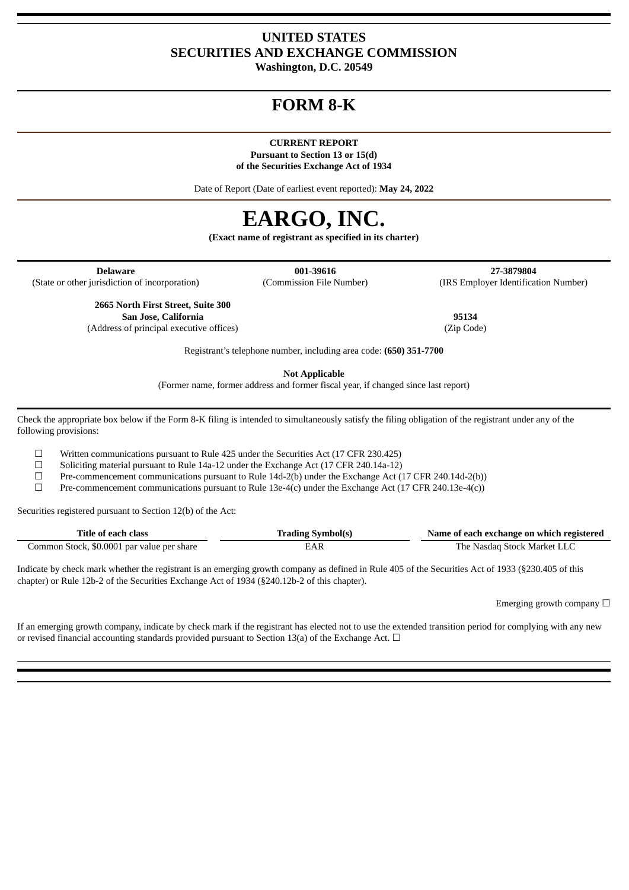# **UNITED STATES SECURITIES AND EXCHANGE COMMISSION**

**Washington, D.C. 20549**

# **FORM 8-K**

## **CURRENT REPORT**

**Pursuant to Section 13 or 15(d) of the Securities Exchange Act of 1934**

Date of Report (Date of earliest event reported): **May 24, 2022**

# **EARGO, INC.**

**(Exact name of registrant as specified in its charter)**

**Delaware 001-39616 27-3879804** (State or other jurisdiction of incorporation) (Commission File Number) (IRS Employer Identification Number)

**2665 North First Street, Suite 300 San Jose, California 95134** (Address of principal executive offices) (Zip Code)

Registrant's telephone number, including area code: **(650) 351-7700**

**Not Applicable**

(Former name, former address and former fiscal year, if changed since last report)

Check the appropriate box below if the Form 8-K filing is intended to simultaneously satisfy the filing obligation of the registrant under any of the following provisions:

 $\Box$  Written communications pursuant to Rule 425 under the Securities Act (17 CFR 230.425)

☐ Soliciting material pursuant to Rule 14a-12 under the Exchange Act (17 CFR 240.14a-12)

 $\Box$  Pre-commencement communications pursuant to Rule 14d-2(b) under the Exchange Act (17 CFR 240.14d-2(b))

☐ Pre-commencement communications pursuant to Rule 13e-4(c) under the Exchange Act (17 CFR 240.13e-4(c))

Securities registered pursuant to Section 12(b) of the Act:

| Title of each class                        | <b>Trading Symbol(s)</b> | Name of each exchange on which registered |
|--------------------------------------------|--------------------------|-------------------------------------------|
| Common Stock, \$0.0001 par value per share | EAR                      | The Nasdag Stock Market LLC               |

Indicate by check mark whether the registrant is an emerging growth company as defined in Rule 405 of the Securities Act of 1933 (§230.405 of this chapter) or Rule 12b-2 of the Securities Exchange Act of 1934 (§240.12b-2 of this chapter).

Emerging growth company  $\Box$ 

If an emerging growth company, indicate by check mark if the registrant has elected not to use the extended transition period for complying with any new or revised financial accounting standards provided pursuant to Section 13(a) of the Exchange Act.  $\Box$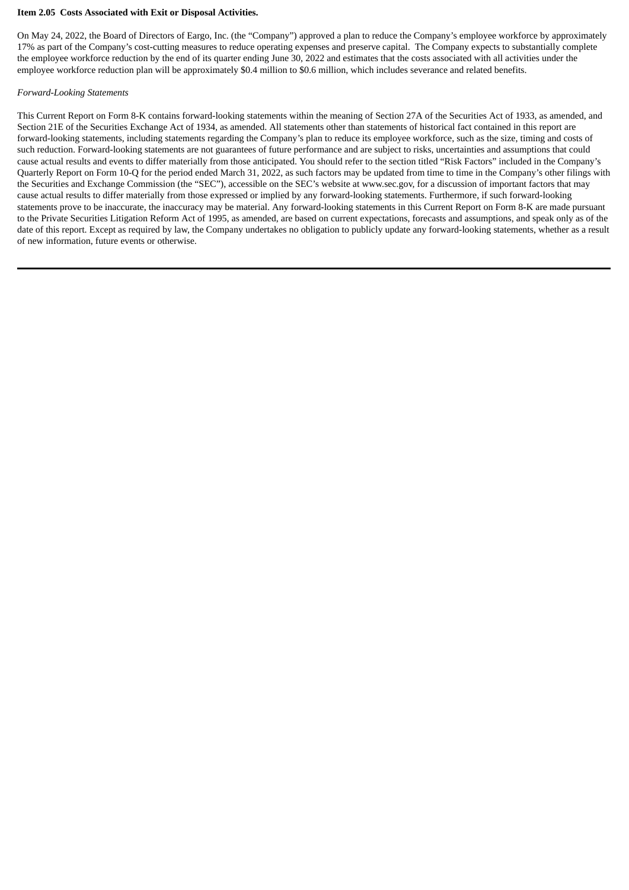#### **Item 2.05 Costs Associated with Exit or Disposal Activities.**

On May 24, 2022, the Board of Directors of Eargo, Inc. (the "Company") approved a plan to reduce the Company's employee workforce by approximately 17% as part of the Company's cost-cutting measures to reduce operating expenses and preserve capital. The Company expects to substantially complete the employee workforce reduction by the end of its quarter ending June 30, 2022 and estimates that the costs associated with all activities under the employee workforce reduction plan will be approximately \$0.4 million to \$0.6 million, which includes severance and related benefits.

#### *Forward-Looking Statements*

This Current Report on Form 8-K contains forward-looking statements within the meaning of Section 27A of the Securities Act of 1933, as amended, and Section 21E of the Securities Exchange Act of 1934, as amended. All statements other than statements of historical fact contained in this report are forward-looking statements, including statements regarding the Company's plan to reduce its employee workforce, such as the size, timing and costs of such reduction. Forward-looking statements are not guarantees of future performance and are subject to risks, uncertainties and assumptions that could cause actual results and events to differ materially from those anticipated. You should refer to the section titled "Risk Factors" included in the Company's Quarterly Report on Form 10-Q for the period ended March 31, 2022, as such factors may be updated from time to time in the Company's other filings with the Securities and Exchange Commission (the "SEC"), accessible on the SEC's website at www.sec.gov, for a discussion of important factors that may cause actual results to differ materially from those expressed or implied by any forward-looking statements. Furthermore, if such forward-looking statements prove to be inaccurate, the inaccuracy may be material. Any forward-looking statements in this Current Report on Form 8-K are made pursuant to the Private Securities Litigation Reform Act of 1995, as amended, are based on current expectations, forecasts and assumptions, and speak only as of the date of this report. Except as required by law, the Company undertakes no obligation to publicly update any forward-looking statements, whether as a result of new information, future events or otherwise.